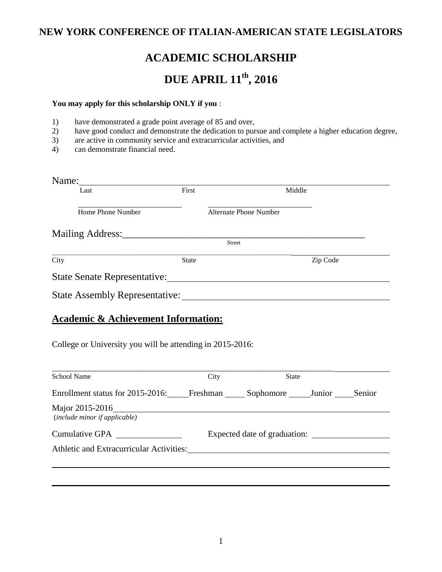## **NEW YORK CONFERENCE OF ITALIAN-AMERICAN STATE LEGISLATORS**

# **ACADEMIC SCHOLARSHIP**

# **DUE APRIL 11th, 2016**

#### **You may apply for this scholarship ONLY if you** :

- 1) have demonstrated a grade point average of 85 and over,
- 2) have good conduct and demonstrate the dedication to pursue and complete a higher education degree,
- 3) are active in community service and extracurricular activities, and
- 4) can demonstrate financial need.

| Name:                                                                                                                                                                                                                                                                |              |                               |          |  |  |
|----------------------------------------------------------------------------------------------------------------------------------------------------------------------------------------------------------------------------------------------------------------------|--------------|-------------------------------|----------|--|--|
| Last                                                                                                                                                                                                                                                                 | First        | Middle                        |          |  |  |
| Home Phone Number                                                                                                                                                                                                                                                    |              | <b>Alternate Phone Number</b> |          |  |  |
| Mailing Address:                                                                                                                                                                                                                                                     |              |                               |          |  |  |
|                                                                                                                                                                                                                                                                      |              | <b>Street</b>                 |          |  |  |
| City                                                                                                                                                                                                                                                                 | <b>State</b> |                               | Zip Code |  |  |
| State Senate Representative:                                                                                                                                                                                                                                         |              |                               |          |  |  |
| State Assembly Representative:                                                                                                                                                                                                                                       |              |                               |          |  |  |
| $\mathbf{A}$ is a set of the set of $\mathbf{A}$ is a set of $\mathbf{A}$ is a set of $\mathbf{A}$ is a set of $\mathbf{A}$ is a set of $\mathbf{A}$ is a set of $\mathbf{A}$ is a set of $\mathbf{A}$ is a set of $\mathbf{A}$ is a set of $\mathbf{A}$ is a set of |              |                               |          |  |  |

### **Academic & Achievement Information:**

College or University you will be attending in 2015-2016:

| <b>School Name</b>                                                | City | <b>State</b>                 |  |
|-------------------------------------------------------------------|------|------------------------------|--|
| Enrollment status for 2015-2016: Freshman Sophomore Junior Senior |      |                              |  |
| Major 2015-2016<br>(include minor if applicable)                  |      |                              |  |
| Athletic and Extracurricular Activities:                          |      | Expected date of graduation: |  |
|                                                                   |      |                              |  |